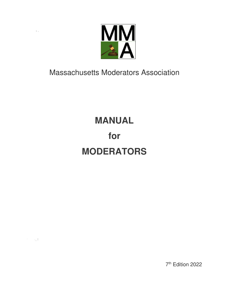

 $\mathbb{F}_{-1}$ 

 $\mathbb{R}^3 \times \mathbb{R}^4$ 

Massachusetts Moderators Association

# **MANUAL for MODERATORS**

7 th Edition 2022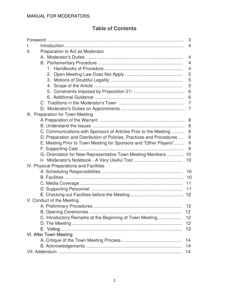## **Table of Contents**

|                                                                       | 3                 |
|-----------------------------------------------------------------------|-------------------|
|                                                                       | 4                 |
| Preparation to Act as Moderator<br>Ш.                                 |                   |
|                                                                       | 4                 |
|                                                                       | 4                 |
|                                                                       | 4                 |
|                                                                       | 5                 |
|                                                                       | 5                 |
|                                                                       | 5                 |
|                                                                       | 6                 |
|                                                                       | 6                 |
|                                                                       | $\overline{7}$    |
|                                                                       | 7                 |
| III. Preparation for Town Meeting                                     |                   |
|                                                                       | 8                 |
|                                                                       | 8                 |
| C. Communications with Sponsors of Articles Prior to the Meeting      | 8                 |
| D. Preparation and Distribution of Policies, Practices and Procedures | 8                 |
| E. Meeting Prior to Town Meeting for Sponsors and "Other Players"     | 9                 |
|                                                                       | 9                 |
| G. Orientation for New Representative Town Meeting Members            | 10                |
|                                                                       | 10                |
| IV. Physical Preparations and Facilities                              |                   |
|                                                                       | 10                |
|                                                                       | 10                |
|                                                                       | 11                |
|                                                                       | 11                |
|                                                                       | 12                |
| V. Conduct of the Meeting                                             |                   |
|                                                                       | 12                |
|                                                                       | $12 \overline{ }$ |
| C. Introductory Remarks at the Beginning of Town Meeting              | 12                |
|                                                                       | 12                |
|                                                                       | 13                |
| VI. After Town Meeting                                                |                   |
|                                                                       | 14                |
|                                                                       | 14                |
|                                                                       | 14                |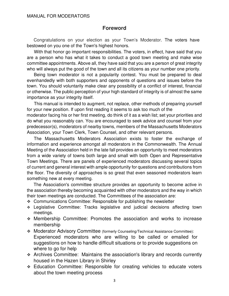#### **Foreword**

Congratulations on your election as your Town's Moderator. The voters have bestowed on you one of the Town's highest honors.

With that honor go important responsibilities. The voters, in effect, have said that you are a person who has what it takes to conduct a good town meeting and make wise committee appointments. Above all, they have said that you are a person of great integrity who will always put the good of the town and all its citizens as your number one priority.

Being town moderator is not a popularity contest. You must be prepared to deal evenhandedly with both supporters and opponents of questions and issues before the town. You should voluntarily make clear any possibility of a conflict of interest, financial or otherwise. The public perception of your high standard of integrity is of almost the same importance as your integrity itself.

This manual is intended to augment, not replace, other methods of preparing yourself for your new position. If upon first reading it seems to ask too much of the

moderator facing his or her first meeting, do think of it as a wish list; set your priorities and do what you reasonably can. You are encouraged to seek advice and counsel from your predecessor(s), moderators of nearby towns, members of the Massachusetts Moderators Association, your Town Clerk, Town Counsel, and other relevant persons.

The Massachusetts Moderators Association exists to foster the exchange of information and experience amongst all moderators in the Commonwealth. The Annual Meeting of the Association held in the late fall provides an opportunity to meet moderators from a wide variety of towns both large and small with both Open and Representative Town Meetings. There are panels of experienced moderators discussing several topics of current and general interest with ample opportunity for questions and contributions from the floor. The diversity of approaches is so great that even seasoned moderators learn something new at every meeting.

The Association's committee structure provides an opportunity to become active in the association thereby becoming acquainted with other moderators and the way in which their town meetings are conducted. The Committees of the association are:

- ❖ Communications Committee: Responsible for publishing the newsletter
- ❖ Legislative Committee: Tracks legislative and judicial decisions affecting town meetings.
- ❖ Membership Committee: Promotes the association and works to increase membership
- ❖ Moderator Advisory Committee (formerly Counseling/Technical Assistance Committee): Experienced moderators who are willing to be called or emailed for suggestions on how to handle difficult situations or to provide suggestions on where to go for help
- ❖ Archives Committee: Maintains the association's library and records currently housed in the Hazen Library in Shirley
- ❖ Education Committee: Responsible for creating vehicles to educate voters about the town meeting process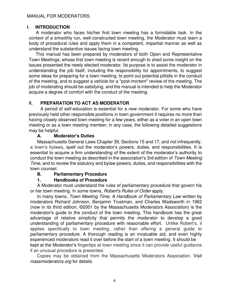#### **I. INTRODUCTION**

A moderator who faces his/her first town meeting has a formidable task. In the context of a smoothly run, well-constructed town meeting, the Moderator must learn a body of procedural rules and apply them in a competent, impartial manner as well as understand the substantive issues facing town meeting.

This manual has been prepared by moderators of both Open and Representative Town Meetings; whose first town meeting is recent enough to shed some insight on the issues presented the newly elected moderator. Its purpose is to assist the moderator in understanding the job itself, including the responsibility for appointments, to suggest some ideas for preparing for a town meeting, to point out potential pitfalls in the conduct of the meeting, and to suggest a vehicle for a "post-mortem" review of the meeting. The job of moderating should be satisfying, and the manual is intended to help the Moderator acquire a degree of comfort with the conduct of the meeting.

## **II. PREPARATION TO ACT AS MODERATOR**

A period of self-education is essential for a new moderator. For some who have previously held other responsible positions in town government it requires no more than having closely observed town meeting for a few years, either as a voter in an open town meeting or as a town meeting member; in any case, the following detailed suggestions may be helpful.

#### **A. Moderator's Duties**

Massachusetts General Laws Chapter 39, Sections 15 and 17, and not infrequently, a town's bylaws, spell out the moderator's powers, duties, and responsibilities. It is essential to acquire a firm understanding of the extent of the moderator's authority to conduct the town meeting as described in the association's 3rd edition of Town Meeting Time, and to review the statutory and bylaw powers, duties, and responsibilities with the town counsel.

#### **B. Parliamentary Procedure**

#### **1. Handbooks of Procedure**

A Moderator must understand the rules of parliamentary procedure that govern his or her town meeting. In some towns, Robert's Rules of Order apply.

In many towns, Town Meeting Time, A Handbook of Parliamentary Law written by moderators Richard Johnson, Benjamin Trustman, and Charles Wadsworth in 1962 (now in its third edition, ©2001 by the Massachusetts Moderators Association) is the moderator's guide to the conduct of the town meeting. This handbook has the great advantage of relative simplicity that permits the moderator to develop a good understanding of parliamentary procedure with reasonable effort. Unlike Robert's, it applies specifically to town meeting, rather than offering a general guide to parliamentary procedure. A thorough reading is an invaluable aid, and even highly experienced moderators read it over before the start of a town meeting. It should be kept at the Moderator's fingertips at town meeting since it can provide useful guidance

if an unusual procedure is presented. Copies may be obtained from the Massachusetts Moderators Association. Visit massmoderators.org for details.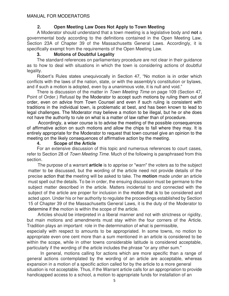#### **2. Open Meeting Law Does Not Apply to Town Meeting**

A Moderator should understand that a town meeting is a legislative body and **not** a governmental body according to the definitions contained in the Open Meeting Law, Section 23A of Chapter 39 of the Massachusetts General Laws. Accordingly, it is specifically exempt from the requirements of the Open Meeting Law.

#### **3. Motions of Doubtful Legality**

The standard references on parliamentary procedure are not clear in their guidance as to how to deal with situations in which the town is considering actions of doubtful legality.

Robert's Rules states unequivocally in Section 47, "No motion is in order which conflicts with the laws of the nation, state, or with the assembly's constitution or bylaws, and if such a motion is adopted, even by a unanimous vote, it is null and void."

There is discussion of the matter in Town Meeting Time on page 109 (Section 47, Point of Order.) Refusal by the Moderator to accept such motions by ruling them out of order, even on advice from Town Counsel and even if such ruling is consistent with traditions in the individual town, is problematic at best, and has been known to lead to legal challenges. The Moderator may believe a motion to be illegal, but he or she does not have the authority to rule on what is a matter of law rather than of procedure.

 Accordingly, a wiser course is to advise the meeting of the possible consequences of affirmative action on such motions and allow the chips to fall where they may. It is entirely appropriate for the Moderator to request that town counsel give an opinion to the meeting on the likely consequences of affirmative action by the meeting.

#### **4. Scope of the Article**

For an extensive discussion of this topic and numerous references to court cases, refer to Section 28 of Town Meeting Time. Much of the following is paraphrased from this section.

The purpose of a warrant **article** is to apprise or "warn" the voters as to the subject matter to be discussed, but the wording of the article need not provide details of the precise action that the meeting will be asked to take. The **motion** made under an article must spell out the details. To be in order, the ensuing discussion must be germane to the subject matter described in the article. Matters incidental to and connected with the subject of the article are proper for inclusion in the motion that is to be considered and acted upon. Under his or her authority to regulate the proceedings established by Section 15 of Chapter 39 of the Massachusetts General Laws, it is the duty of the Moderator to determine if the motion is within the scope of the article.

Articles should be interpreted in a liberal manner and not with strictness or rigidity, but main motions and amendments must stay within the four corners of the Article. Tradition plays an important role in the determination of what is permissible,

especially with respect to amounts to be appropriated. In some towns, no motion to appropriate even one cent more than a sum mentioned in an article is considered to be within the scope, while in other towns considerable latitude is considered acceptable, particularly if the wording of the article includes the phrase "or any other sum."

In general, motions calling for actions which are more specific than a range of general actions contemplated by the wording of an article are acceptable, whereas expansion in a motion of a specific action called for by the article to a more general situation is not acceptable. Thus, if the Warrant article calls for an appropriation to provide handicapped access to a school, a motion to appropriate funds for installation of an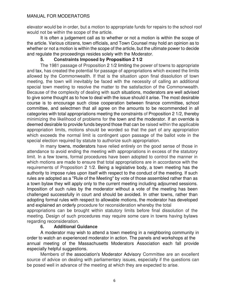#### MANUAL FOR MODERATORS

elevator would be in order, but a motion to appropriate funds for repairs to the school roof would not be within the scope of the article.

It is often a judgement call as to whether or not a motion is within the scope of the article. Various citizens, town officials, and Town Counsel may hold an opinion as to whether or not a motion is within the scope of the article, but the ultimate power to decide and regulate the proceedings resides solely with the Moderator.

#### **5. Constraints Imposed by Proposition 2 1/2**

The 1981 passage of Proposition 2 1/2 limiting the power of towns to appropriate and tax, has created the potential for passage of appropriations which exceed the limits allowed by the Commonwealth. If that is the situation upon final dissolution of town meeting, the town will inevitably be faced with the necessity of calling an additional special town meeting to resolve the matter to the satisfaction of the Commonwealth. Because of the complexity of dealing with such situations, moderators are well advised to give some thought as to how to deal with the issue should it arise. The most desirable course is to encourage such close cooperation between finance committee, school committee, and selectmen that all agree on the amounts to be recommended in all categories with total appropriations meeting the constraints of Proposition 2 1/2, thereby minimizing the likelihood of problems for the town and the moderator. If an override is deemed desirable to provide funds beyond those that can be raised within the applicable appropriation limits, motions should be worded so that the part of any appropriation which exceeds the normal limit is contingent upon passage of the ballot vote in the special election required by statute to authorize such appropriation.

In many towns, moderators have relied entirely on the good sense of those in attendance to avoid ending the meeting with appropriations in excess of the statutory limit. In a few towns, formal procedures have been adopted to control the manner in which motions are made to ensure that total appropriations are in accordance with the requirements of Proposition 2 1/2. Being a legislative body, a town meeting has the authority to impose rules upon itself with respect to the conduct of the meeting. If such rules are adopted as a "Rule of the Meeting" by vote of those assembled rather than as a town bylaw they will apply only to the current meeting including adjourned sessions. Imposition of such rules by the moderator without a vote of the meeting has been challenged successfully in court and should be avoided. In other towns, rather than adopting formal rules with respect to allowable motions, the moderator has developed and explained an orderly procedure for reconsideration whereby the total

appropriations can be brought within statutory limits before final dissolution of the meeting. Design of such procedures may require some care in towns having bylaws regarding reconsideration.

#### **6. Additional Guidance**

A moderator may wish to attend a town meeting in a neighboring community in order to watch an experienced moderator in action. The panels and workshops at the annual meeting of the Massachusetts Moderators Association each fall provide especially helpful suggestions.

Members of the association's Moderator Advisory Committee are an excellent source of advice on dealing with parliamentary issues, especially if the questions can be posed well in advance of the meeting at which they are expected to arise.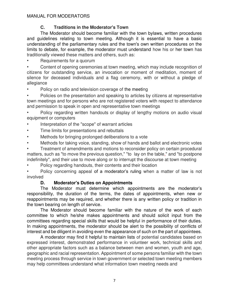## **C. Traditions in the Moderator's Town**

The Moderator should become familiar with the town bylaws, written procedures and guidelines relating to town meeting. Although it is essential to have a basic understanding of the parliamentary rules and the town's own written procedures on the limits to debate, for example, the moderator must understand how his or her town has traditionally viewed these matters and others, such as:

• Requirements for a quorum

• Content of opening ceremonies at town meeting, which may include recognition of citizens for outstanding service, an invocation or moment of meditation, moment of silence for deceased individuals and a flag ceremony, with or without a pledge of allegiance

Policy on radio and television coverage of the meeting

• Policies on the presentation and speaking to articles by citizens at representative town meetings and for persons who are not registered voters with respect to attendance and permission to speak in open and representative town meetings

• Policy regarding written handouts or display of lengthy motions on audio visual equipment or computers

- Interpretation of the "scope" of warrant articles
- Time limits for presentations and rebuttals
- Methods for bringing prolonged deliberations to a vote
- Methods for taking voice, standing, show of hands and ballot and electronic votes

• Treatment of amendments and motions to reconsider policy on certain procedural matters, such as "to move the previous question," "to lay on the table," and "to postpone indefinitely", and their use to move along or to interrupt the discourse at town meeting

Policy regarding handouts, their contents and their location

• Policy concerning appeal of a moderator's ruling when a matter of law is not involved

## **D. Moderator's Duties on Appointments**

The Moderator must determine which appointments are the moderator's responsibility, the duration of the terms, the dates of appointments, when new or reappointments may be required, and whether there is any written policy or tradition in the town bearing on length of service.

The Moderator should become familiar with the nature of the work of each committee to which he/she makes appointments and should solicit input from the committees regarding special skills that would be helpful in performance of their duties. In making appointments, the moderator should be alert to the possibility of conflicts of interest and be diligent in avoiding even the appearance of such on the part of appointees.

A moderator may find it helpful to maintain lists of potential candidates based on expressed interest, demonstrated performance in volunteer work, technical skills and other appropriate factors such as a balance between men and women, youth and age, geographic and racial representation. Appointment of some persons familiar with the town meeting process through service in town government or selected town meeting members may help committees understand what information town meeting needs and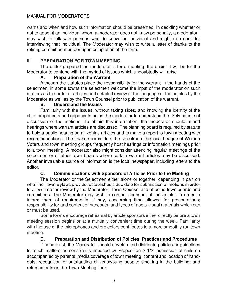#### MANUAL FOR MODERATORS

wants and when and how such information should be presented. In deciding whether or not to appoint an individual whom a moderator does not know personally, a moderator may wish to talk with persons who do know the individual and might also consider interviewing that individual. The Moderator may wish to write a letter of thanks to the retiring committee member upon completion of the term.

#### **Ill. PREPARATION FOR TOWN MEETING**

The better prepared the moderator is for a meeting, the easier it will be for the Moderator to contend with the myriad of issues which undoubtedly will arise.

#### **A. Preparation of the Warrant**

Although the statutes place the responsibility for the warrant in the hands of the selectmen, in some towns the selectmen welcome the input of the moderator on such matters as the order of articles and detailed review of the language of the articles by the Moderator as well as by the Town Counsel prior to publication of the warrant.

#### **B. Understand the Issues**

Familiarity with the issues, without taking sides, and knowing the identity of the chief proponents and opponents helps the moderator to understand the likely course of discussion of the motions. To obtain this information, the moderator should attend hearings where warrant articles are discussed. The planning board is required by statute to hold a public hearing on all zoning articles and to make a report to town meeting with recommendations. The finance committee, the selectmen, the local League of Women Voters and town meeting groups frequently host hearings or information meetings prior to a town meeting. A moderator also might consider attending regular meetings of the selectmen or of other town boards where certain warrant articles may be discussed. Another invaluable source of information is the local newspaper, including letters to the editor.

#### **C. Communications with Sponsors of Articles Prior to the Meeting**

The Moderator or the Selectmen either alone or together, depending in part on what the Town Bylaws provide, establishes a due date for submission of motions in order to allow time for review by the Moderator, Town Counsel and affected town boards and committees. The Moderator may wish to contact sponsors of the articles in order to inform them of requirements, if any, concerning time allowed for presentations; responsibility for and content of handouts; and types of audio-visual materials which can or must be used.

Some towns encourage rehearsal by article sponsors either directly before a town meeting session begins or at a mutually convenient time during the week. Familiarity with the use of the microphones and projectors contributes to a more smoothly run town meeting.

#### **D. Preparation and Distribution of Policies, Practices and Procedures**

If none exist, the Moderator should develop and distribute policies or guidelines for such matters as constraints imposed by Proposition 2 1/2; admission of children accompanied by parents; media coverage of town meeting; content and location of handouts; recognition of outstanding citizens/young people; smoking in the building; and refreshments on the Town Meeting floor.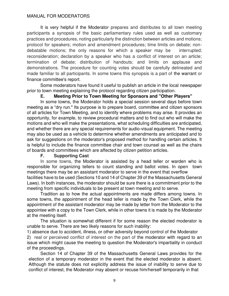It is very helpful if the Moderator prepares and distributes to all town meeting participants a synopsis of the basic parliamentary rules used as well as customary practices and procedures, noting particularly the distinction between articles and motions; protocol for speakers; motion and amendment procedures; time limits on debate; nondebatable motions; the only reasons for which a speaker may be interrupted; reconsideration; declaration by a speaker who has a conflict of interest on an article; termination of debate; distribution of handouts; and limits on applause and demonstrations. The procedure for counting votes should be carefully delineated and made familiar to all participants. In some towns this synopsis is a part of the warrant or finance committee's report.

Some moderators have found it useful to publish an article in the local newspaper prior to town meeting explaining the protocol regarding citizen participation.

#### **E. Meeting Prior to Town Meeting for Sponsors and "Other Players"**

In some towns, the Moderator holds a special session several days before town meeting as a "dry run." Its purpose is to prepare board, committee and citizen sponsors of all articles for Town Meeting, and to identify where problems may arise. It provides an opportunity, for example, to review procedural matters and to find out who will make the motions and who will make the presentations, what scheduling difficulties are anticipated, and whether there are any special requirements for audio-visual equipment. The meeting may also be used as a vehicle to determine whether amendments are anticipated and to ask for suggestions on the moderator's proposed method for handling certain articles. It is helpful to include the finance committee chair and town counsel as well as the chairs of boards and committees which are affected by citizen petition articles.

#### **F. Supporting Cast**

In some towns, the Moderator is assisted by a head teller or warden who is responsible for organizing tellers to count standing and ballot votes. In open town meetings there may be an assistant moderator to serve in the event that overflow facilities have to be used (Sections 10 and 14 of Chapter 39 of the Massachusetts General Laws). In both instances, the moderator should be sure there is a commitment prior to the meeting from specific individuals to be present at town meeting and to serve.

Tradition as to how the actual appointments are made differs among towns. In some towns, the appointment of the head teller is made by the Town Clerk, while the appointment of the assistant moderator may be made by letter from the Moderator to the appointee with a copy to the Town Clerk, while in other towns it is made by the Moderator at the meeting itself.

The situation is somewhat different if for some reason the elected moderator is unable to serve. There are two likely reasons for such inability:

1) absence due to accident, illness, or other adversity beyond control of the Moderator 2) real or perceived conflict of interest on the part of the moderator with regard to an issue which might cause the meeting to question the Moderator's impartiality in conduct of the proceedings.

 Section 14 of Chapter 39 of the Massachusetts General Laws provides for the election of a temporary moderator in the event that the elected moderator is absent. Although the statute does not explicitly address the issue of inability to serve due to conflict of interest, the Moderator may absent or recuse him/herself temporarily in that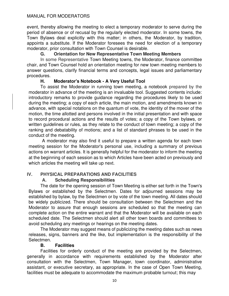#### MANUAL FOR MODERATORS

event, thereby allowing the meeting to elect a temporary moderator to serve during the period of absence or of recusal by the regularly elected moderator. In some towns, the Town Bylaws deal explicitly with this matter; in others, the Moderator, by tradition, appoints a substitute. If the Moderator foresees the need for election of a temporary moderator, prior consultation with Town Counsel is desirable.

#### **G. Orientation for New Representative Town Meeting Members**

 In some Representative Town Meeting towns, the Moderator, finance committee chair, and Town Counsel hold an orientation meeting for new town meeting members to answer questions, clarify financial terms and concepts, legal issues and parliamentary procedures.

#### **H. Moderator's Notebook - A Very Useful Tool**

To assist the Moderator in running town meeting, a notebook prepared by the moderator in advance of the meeting is an invaluable tool. Suggested contents include: introductory remarks to provide guidance regarding the procedures likely to be used during the meeting; a copy of each article, the main motion, and amendments known in advance, with special notations on the quantum of vote, the identity of the mover of the motion, the time allotted and persons involved in the initial presentation and with space to record procedural actions and the results of votes; a copy of the Town bylaws, or written guidelines or rules, as they relate to the conduct of town meeting; a copy of the ranking and debatability of motions; and a list of standard phrases to be used in the conduct of the meeting.

 A moderator may also find it useful to prepare a written agenda for each town meeting session for the Moderator's personal use, including a summary of previous actions on warrant articles. It is generally helpful for the moderator to inform the meeting at the beginning of each session as to which Articles have been acted on previously and which articles the meeting will take up next.

#### **IV. PHYSICAL PREPARATIONS AND FACILITIES**

#### **A. Scheduling Responsibilities**

The date for the opening session of Town Meeting is either set forth in the Town's Bylaws or established by the Selectmen. Dates for adjourned sessions may be established by bylaw, by the Selectmen or by vote of the town meeting. All dates should be widely publicized. There should be consultation between the Selectmen and the Moderator to assure that enough sessions are scheduled so that the meeting can complete action on the entire warrant and that the Moderator will be available on each scheduled date. The Selectmen should alert all other town boards and committees to avoid scheduling any meetings or hearings on the meeting dates.

The Moderator may suggest means of publicizing the meeting dates such as news releases, signs, banners and the like, but implementation is the responsibility of the Selectmen.

#### **B. Facilities**

Facilities for orderly conduct of the meeting are provided by the Selectmen, generally in accordance with requirements established by the Moderator after consultation with the Selectmen, Town Manager, town coordinator, administrative assistant, or executive secretary, as appropriate. In the case of Open Town Meeting, facilities must be adequate to accommodate the maximum probable turnout; this may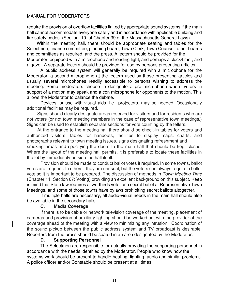require the provision of overflow facilities linked by appropriate sound systems if the main hall cannot accommodate everyone safely and in accordance with applicable building and fire safety codes. (Section 10 of Chapter 39 of the Massachusetts General Laws)

Within the meeting hall, there should be appropriate seating and tables for the Selectmen, finance committee, planning board, Town Clerk, Town Counsel, other boards and committees as required, and the press. A lectern should be provided for the Moderator, equipped with a microphone and reading light, and perhaps a clock/timer, and a gavel. A separate lectern should be provided for use by persons presenting articles.

A public address system will generally be required with a microphone for the Moderator, a second microphone at the lectern used by those presenting articles and usually several microphones readily accessible to persons wishing to address the meeting. Some moderators choose to designate a pro microphone where voters in support of a motion may speak and a con microphone for opponents to the motion. This allows the Moderator to balance the debate.

Devices for use with visual aids, i.e., projectors, may be needed. Occasionally additional facilities may be required.

Signs should clearly designate areas reserved for visitors and for residents who are not voters (or not town meeting members in the case of representative town meetings.) Signs can be used to establish separate sections for vote counting by the tellers.

At the entrance to the meeting hall there should be check-in tables for voters and authorized visitors, tables for handouts, facilities to display maps, charts, and photographs relevant to town meeting issues, signs designating refreshment and

smoking areas and specifying the doors to the main hall that should be kept closed. Where the layout of the meeting hall permits, it is preferable to locate these facilities in the lobby immediately outside the hall itself.

Provision should be made to conduct ballot votes if required. In some towns, ballot votes are frequent. In others, they are unusual, but the voters can always require a ballot vote so it is important to be prepared. The discussion of methods in Town Meeting Time (Chapter 11, Section 67: Voting) providing an excellent background on this subject. Keep in mind that State law requires a two-thirds vote for a secret ballot at Representative Town Meetings, and some of those towns have bylaws prohibiting secret ballots altogether.

If multiple halls are necessary, all audio-visual needs in the main hall should also be available in the secondary halls.

#### **C. Media Coverage**

If there is to be cable or network television coverage of the meeting, placement of cameras and provision of auxiliary lighting should be worked out with the provider of the coverage ahead of the meeting with a view to minimizing any intrusion. Coordination of the sound pickup between the public address system and TV broadcast is desirable. Reporters from the press should be seated in an area designated by the Moderator.

#### **D. Supporting Personnel**

The Selectmen are responsible for actually providing the supporting personnel in accordance with the needs identified by the Moderator. People who know how the systems work should be present to handle heating, lighting, audio and similar problems. A police officer and/or Constable should be present at all times.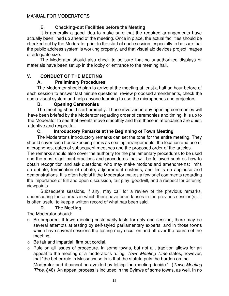## **E. Checking-out Facilities before the Meeting**

It is generally a good idea to make sure that the required arrangements have actually been lined up ahead of the meeting. Once in place, the actual facilities should be checked out by the Moderator prior to the start of each session, especially to be sure that the public address system is working properly, and that visual aid devices project images of adequate size.

The Moderator should also check to be sure that no unauthorized displays or materials have been set up in the lobby or entrance to the meeting hall.

## **V. CONDUCT OF THE MEETING**

## **A. Preliminary Procedures**

The Moderator should plan to arrive at the meeting at least a half an hour before of each session to answer last minute questions, review proposed amendments, check the audio-visual system and help anyone learning to use the microphones and projectors.

#### **B. Opening Ceremonies**

The meeting should start promptly. Those involved in any opening ceremonies will have been briefed by the Moderator regarding order of ceremonies and timing. It is up to the Moderator to see that events move smoothly and that those in attendance are quiet, attentive and respectful.

## **C. Introductory Remarks at the Beginning of Town Meeting**

The Moderator's introductory remarks can set the tone for the entire meeting. They should cover such housekeeping items as seating arrangements, the location and use of microphones, dates of subsequent meetings and the proposed order of the articles.

The remarks should also cover the authority for the parliamentary procedures to be used and the most significant practices and procedures that will be followed such as how to obtain recognition and ask questions; who may make motions and amendments; limits on debate; termination of debate; adjournment customs, and limits on applause and demonstrations. It is often helpful if the Moderator makes a few brief comments regarding the importance of full and open discussion, fair play, goodwill, and a respect for differing viewpoints.

Subsequent sessions, if any, may call for a review of the previous remarks, underscoring those areas in which there have been lapses in the previous session(s). It is often useful to keep a written record of what has been said.

## **D. The Meeting**

The Moderator should:

- Be prepared. If town meeting customarily lasts for only one session, there may be several attempts at testing by self-styled parliamentary experts, and in those towns which have several sessions the testing may occur on and off over the course of the meeting.
- o Be fair and impartial, firm but cordial.
- o Rule on all issues of procedure. In some towns, but not all, tradition allows for an appeal to the meeting of a moderator's ruling. Town Meeting Time states, however, that "the better rule in Massachusetts is that the statute puts the burden on the Moderator and it cannot be avoided by letting the meeting decide." (Town Meeting Time, §48) An appeal process is included in the Bylaws of some towns, as well. In no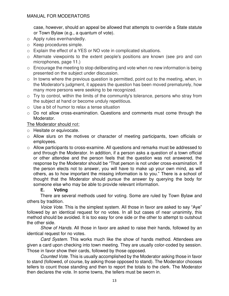case, however, should an appeal be allowed that attempts to override a State statute or Town Bylaw (e.g., a quantum of vote).

- o Apply rules evenhandedly.
- o Keep procedures simple.
- o Explain the effect of a YES or NO vote in complicated situations.
- o Alternate viewpoints to the extent people's positions are known (see pro and con microphones, page 11.)
- o Encourage the meeting to stop deliberating and vote when no new information is being presented on the subject under discussion.
- $\circ$  In towns where the previous question is permitted, point out to the meeting, when, in the Moderator's judgment, it appears the question has been moved prematurely, how many more persons were seeking to be recognized.
- o Try to control, within the limits of the community's tolerance, persons who stray from the subject at hand or become unduly repetitious.
- o Use a bit of humor to relax a tense situation
- o Do not allow cross-examination. Questions and comments must come through the Moderator.

#### The Moderator should not:

- o Hesitate or equivocate.
- o Allow slurs on the motives or character of meeting participants, town officials or employees.
- $\circ$  Allow participants to cross-examine. All questions and remarks must be addressed to and through the Moderator. In addition, if a person asks a question of a town official or other attendee and the person feels that the question was not answered, the response by the Moderator should be "That person is not under cross-examination. If the person elects not to answer, you will have to make up your own mind, as will others, as to how important the missing information is to you." There is a school of thought that the Moderator should pursue the answer by querying the body for someone else who may be able to provide relevant information.

#### **E. Voting**

There are several methods used for voting. Some are ruled by Town Bylaw and others by tradition.

Voice Vote. This is the simplest system. All those in favor are asked to say "Aye" followed by an identical request for no votes. In all but cases of near unanimity, this method should be avoided. It is too easy for one side or the other to attempt to outshout the other side.

Show of Hands. All those in favor are asked to raise their hands, followed by an identical request for no votes.

Card System. This works much like the show of hands method. Attendees are given a card upon checking into town meeting. They are usually color-coded by session. Those in favor show their cards, followed by those opposed.

Counted Vote. This is usually accomplished by the Moderator asking those in favor to stand (followed, of course, by asking those opposed to stand). The Moderator chooses tellers to count those standing and then to report the totals to the clerk. The Moderator then declares the vote. In some towns, the tellers must be sworn in.